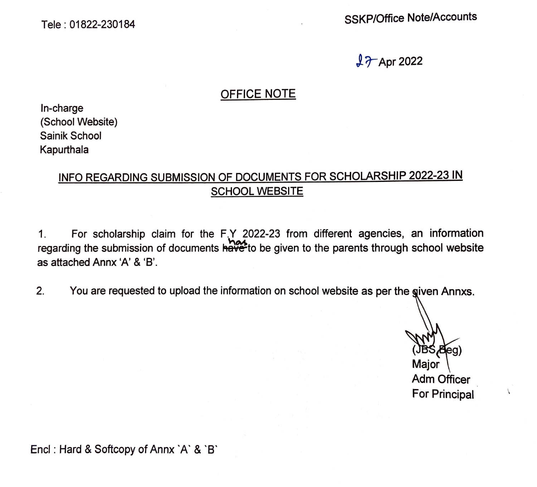Tele : 01822-230184

SSKP/Office Note/Accounts

 $17$ -Apr 2022

#### OFFICE NOTE

In-charge (School Website) Sainik School Kapurthala

## INFO REGARDING SUBMISSION OF DOCUMENTS FOR SCHOLARSHIP 2022-23 IN SCHOOL WEBSITE

1. For scholarship claim for the F.Y 2022-23 from different agencies, an information regarding the submission of documents  $\overrightarrow{have}$  to be given to the parents through school website as attached Annx 'A' & 'B'.

2. You are requested to upload the information on school website as per the given Annxs.

Blea) Maior **Adm Officer** 

For Principal

Encl : Hard & Softcopy of Annx `A` & `B`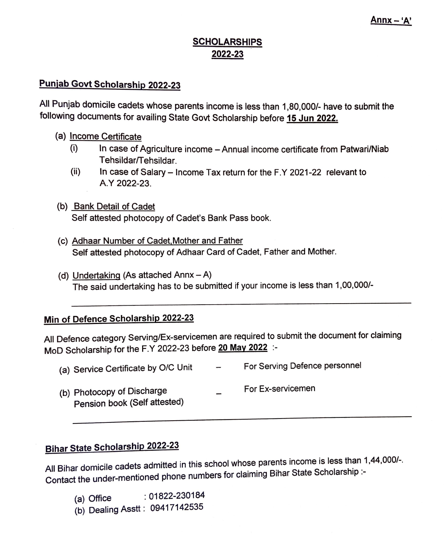### **SCHOLARSHIPS 2022-23**

# **Punjab Govt Scholarship 2022-23**

All Punjab domicile cadets whose parents income is less than 1,80,000/- have to submit the following documents for availing State Govt Scholarship before **15 Jun 2022.** 

- (a) Income Certificate
	- (i) In case of Agriculture income -Annual income certificate from Patwari/Niab Tehsildar/Tehsildar.
	- (ii) In case of Salary Income Tax return for the F.Y 2021-22 relevant to **A.Y 2022-23.**
- (b) Bank Detail of Cadet Self attested photocopy of Cadet's Bank Pass book.
- (c) Adhaar Number of Cadet.Mother and Father Self attested photocopy of Adhaar Card of Cadet, Father and Mother.
- (d) Undertaking (As attached Annx  $-$  A) The said undertaking has to be submitted if your income is less than 1,00,000/-

#### **Min of Defence Scholarship 2022-23**

All Defence category Serving/Ex-servicemen are required to submit the document for claiming MoD Scholarship for the F.Y 2022-23 before **20 May 2022** :-

| (a) Service Certificate by O/C Unit                        | $\overline{\phantom{a}}$ | For Serving Defence personnel |
|------------------------------------------------------------|--------------------------|-------------------------------|
| (b) Photocopy of Discharge<br>Pension book (Self attested) |                          | For Ex-servicemen             |

# **Bihar State Scholarship 2022-23**

All Bihar domicile cadets admitted in this school whose parents income is less than 1,44,000/-. Contact the under-mentioned phone numbers for claiming Bihar State Scholarship :-

- (a) Office : 01822-230184
- (b) Dealing Asstt: 09417142535